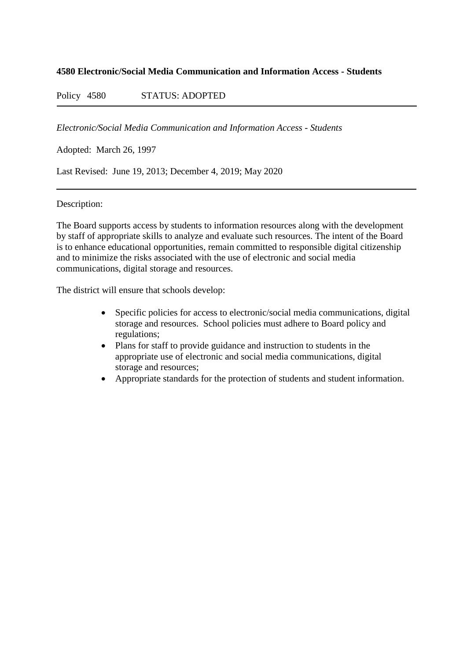# **4580 Electronic/Social Media Communication and Information Access - Students**

Policy 4580 STATUS: ADOPTED

*Electronic/Social Media Communication and Information Access - Students*

Adopted: March 26, 1997

Last Revised: June 19, 2013; December 4, 2019; May 2020

# Description:

The Board supports access by students to information resources along with the development by staff of appropriate skills to analyze and evaluate such resources. The intent of the Board is to enhance educational opportunities, remain committed to responsible digital citizenship and to minimize the risks associated with the use of electronic and social media communications, digital storage and resources.

The district will ensure that schools develop:

- Specific policies for access to electronic/social media communications, digital storage and resources. School policies must adhere to Board policy and regulations;
- Plans for staff to provide guidance and instruction to students in the appropriate use of electronic and social media communications, digital storage and resources;
- Appropriate standards for the protection of students and student information.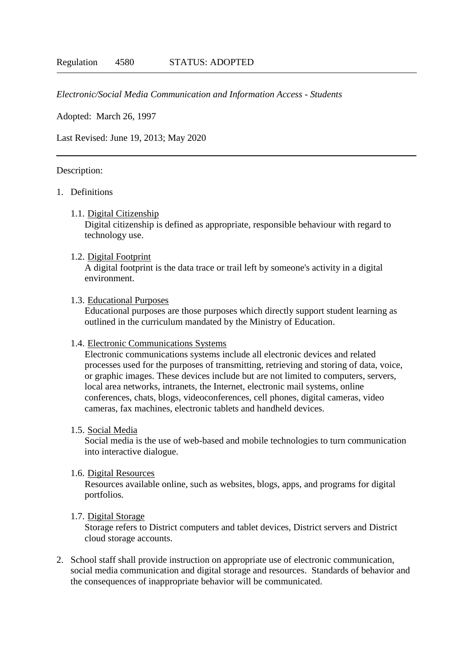### *Electronic/Social Media Communication and Information Access - Students*

Adopted: March 26, 1997

Last Revised: June 19, 2013; May 2020

### Description:

# 1. Definitions

1.1. Digital Citizenship

Digital citizenship is defined as appropriate, responsible behaviour with regard to technology use.

1.2. Digital Footprint

A digital footprint is the data trace or trail left by someone's activity in a digital environment.

### 1.3. Educational Purposes

Educational purposes are those purposes which directly support student learning as outlined in the curriculum mandated by the Ministry of Education.

# 1.4. Electronic Communications Systems

Electronic communications systems include all electronic devices and related processes used for the purposes of transmitting, retrieving and storing of data, voice, or graphic images. These devices include but are not limited to computers, servers, local area networks, intranets, the Internet, electronic mail systems, online conferences, chats, blogs, videoconferences, cell phones, digital cameras, video cameras, fax machines, electronic tablets and handheld devices.

## 1.5. Social Media

Social media is the use of web-based and mobile technologies to turn communication into interactive dialogue.

#### 1.6. Digital Resources

Resources available online, such as websites, blogs, apps, and programs for digital portfolios.

#### 1.7. Digital Storage

Storage refers to District computers and tablet devices, District servers and District cloud storage accounts.

2. School staff shall provide instruction on appropriate use of electronic communication, social media communication and digital storage and resources. Standards of behavior and the consequences of inappropriate behavior will be communicated.